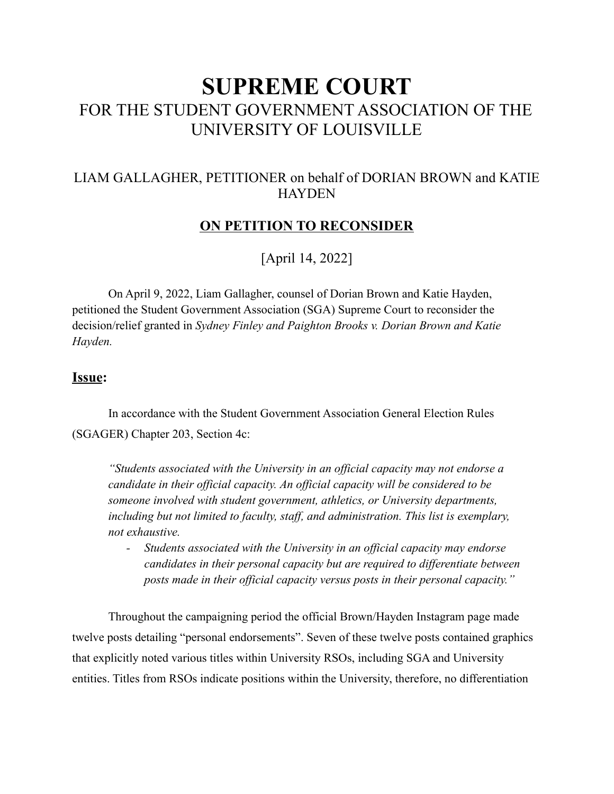# **SUPREME COURT** FOR THE STUDENT GOVERNMENT ASSOCIATION OF THE UNIVERSITY OF LOUISVILLE

## LIAM GALLAGHER, PETITIONER on behalf of DORIAN BROWN and KATIE **HAYDEN**

## **ON PETITION TO RECONSIDER**

[April 14, 2022]

On April 9, 2022, Liam Gallagher, counsel of Dorian Brown and Katie Hayden, petitioned the Student Government Association (SGA) Supreme Court to reconsider the decision/relief granted in *Sydney Finley and Paighton Brooks v. Dorian Brown and Katie Hayden.*

#### **Issue:**

In accordance with the Student Government Association General Election Rules (SGAGER) Chapter 203, Section 4c:

*"Students associated with the University in an official capacity may not endorse a candidate in their official capacity. An official capacity will be considered to be someone involved with student government, athletics, or University departments, including but not limited to faculty, staff, and administration. This list is exemplary, not exhaustive.*

*- Students associated with the University in an official capacity may endorse candidates in their personal capacity but are required to differentiate between posts made in their official capacity versus posts in their personal capacity."*

Throughout the campaigning period the official Brown/Hayden Instagram page made twelve posts detailing "personal endorsements". Seven of these twelve posts contained graphics that explicitly noted various titles within University RSOs, including SGA and University entities. Titles from RSOs indicate positions within the University, therefore, no differentiation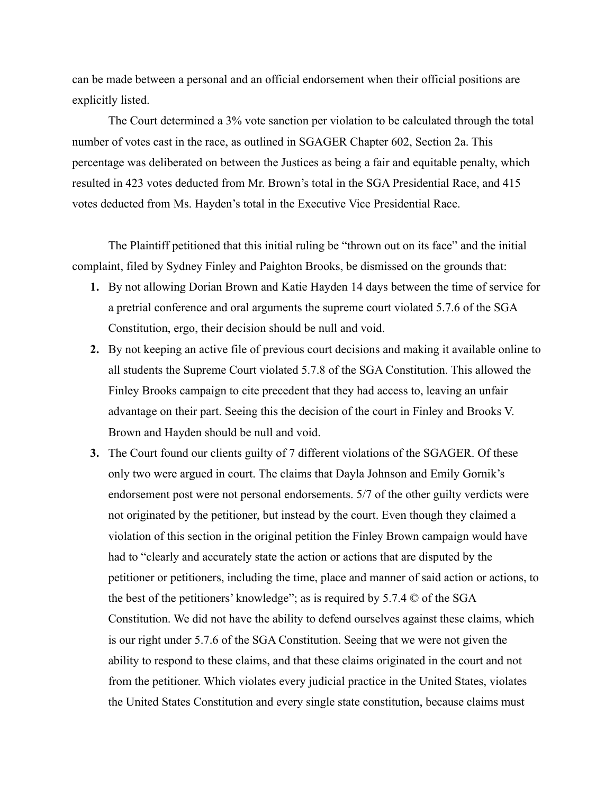can be made between a personal and an official endorsement when their official positions are explicitly listed.

The Court determined a 3% vote sanction per violation to be calculated through the total number of votes cast in the race, as outlined in SGAGER Chapter 602, Section 2a. This percentage was deliberated on between the Justices as being a fair and equitable penalty, which resulted in 423 votes deducted from Mr. Brown's total in the SGA Presidential Race, and 415 votes deducted from Ms. Hayden's total in the Executive Vice Presidential Race.

The Plaintiff petitioned that this initial ruling be "thrown out on its face" and the initial complaint, filed by Sydney Finley and Paighton Brooks, be dismissed on the grounds that:

- **1.** By not allowing Dorian Brown and Katie Hayden 14 days between the time of service for a pretrial conference and oral arguments the supreme court violated 5.7.6 of the SGA Constitution, ergo, their decision should be null and void.
- **2.** By not keeping an active file of previous court decisions and making it available online to all students the Supreme Court violated 5.7.8 of the SGA Constitution. This allowed the Finley Brooks campaign to cite precedent that they had access to, leaving an unfair advantage on their part. Seeing this the decision of the court in Finley and Brooks V. Brown and Hayden should be null and void.
- **3.** The Court found our clients guilty of 7 different violations of the SGAGER. Of these only two were argued in court. The claims that Dayla Johnson and Emily Gornik's endorsement post were not personal endorsements. 5/7 of the other guilty verdicts were not originated by the petitioner, but instead by the court. Even though they claimed a violation of this section in the original petition the Finley Brown campaign would have had to "clearly and accurately state the action or actions that are disputed by the petitioner or petitioners, including the time, place and manner of said action or actions, to the best of the petitioners' knowledge"; as is required by 5.7.4 © of the SGA Constitution. We did not have the ability to defend ourselves against these claims, which is our right under 5.7.6 of the SGA Constitution. Seeing that we were not given the ability to respond to these claims, and that these claims originated in the court and not from the petitioner. Which violates every judicial practice in the United States, violates the United States Constitution and every single state constitution, because claims must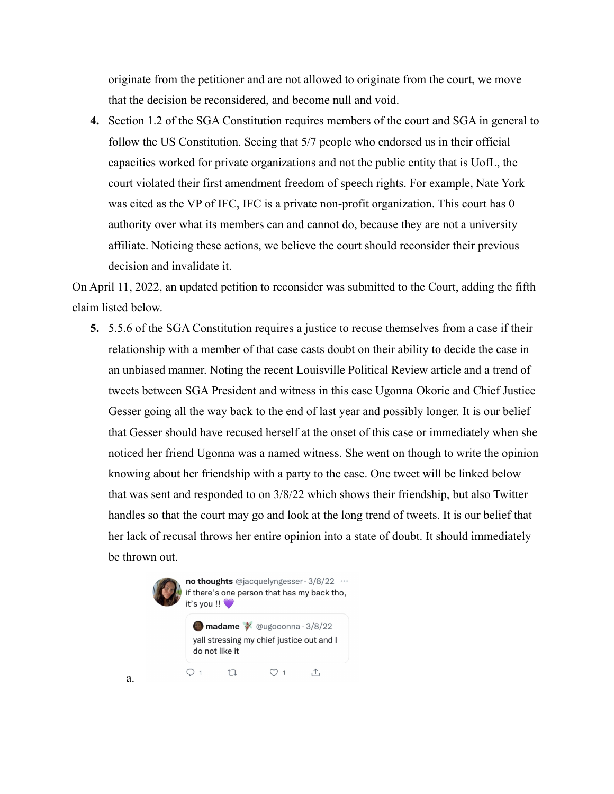originate from the petitioner and are not allowed to originate from the court, we move that the decision be reconsidered, and become null and void.

**4.** Section 1.2 of the SGA Constitution requires members of the court and SGA in general to follow the US Constitution. Seeing that 5/7 people who endorsed us in their official capacities worked for private organizations and not the public entity that is UofL, the court violated their first amendment freedom of speech rights. For example, Nate York was cited as the VP of IFC, IFC is a private non-profit organization. This court has 0 authority over what its members can and cannot do, because they are not a university affiliate. Noticing these actions, we believe the court should reconsider their previous decision and invalidate it.

On April 11, 2022, an updated petition to reconsider was submitted to the Court, adding the fifth claim listed below.

**5.** 5.5.6 of the SGA Constitution requires a justice to recuse themselves from a case if their relationship with a member of that case casts doubt on their ability to decide the case in an unbiased manner. Noting the recent Louisville Political Review article and a trend of tweets between SGA President and witness in this case Ugonna Okorie and Chief Justice Gesser going all the way back to the end of last year and possibly longer. It is our belief that Gesser should have recused herself at the onset of this case or immediately when she noticed her friend Ugonna was a named witness. She went on though to write the opinion knowing about her friendship with a party to the case. One tweet will be linked below that was sent and responded to on 3/8/22 which shows their friendship, but also Twitter handles so that the court may go and look at the long trend of tweets. It is our belief that her lack of recusal throws her entire opinion into a state of doubt. It should immediately be thrown out.

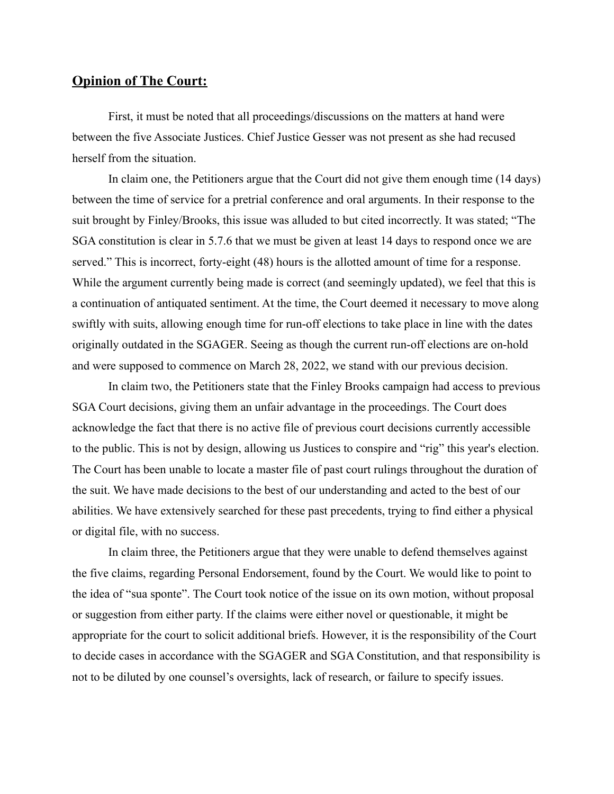## **Opinion of The Court:**

First, it must be noted that all proceedings/discussions on the matters at hand were between the five Associate Justices. Chief Justice Gesser was not present as she had recused herself from the situation.

In claim one, the Petitioners argue that the Court did not give them enough time (14 days) between the time of service for a pretrial conference and oral arguments. In their response to the suit brought by Finley/Brooks, this issue was alluded to but cited incorrectly. It was stated; "The SGA constitution is clear in 5.7.6 that we must be given at least 14 days to respond once we are served." This is incorrect, forty-eight (48) hours is the allotted amount of time for a response. While the argument currently being made is correct (and seemingly updated), we feel that this is a continuation of antiquated sentiment. At the time, the Court deemed it necessary to move along swiftly with suits, allowing enough time for run-off elections to take place in line with the dates originally outdated in the SGAGER. Seeing as though the current run-off elections are on-hold and were supposed to commence on March 28, 2022, we stand with our previous decision.

In claim two, the Petitioners state that the Finley Brooks campaign had access to previous SGA Court decisions, giving them an unfair advantage in the proceedings. The Court does acknowledge the fact that there is no active file of previous court decisions currently accessible to the public. This is not by design, allowing us Justices to conspire and "rig" this year's election. The Court has been unable to locate a master file of past court rulings throughout the duration of the suit. We have made decisions to the best of our understanding and acted to the best of our abilities. We have extensively searched for these past precedents, trying to find either a physical or digital file, with no success.

In claim three, the Petitioners argue that they were unable to defend themselves against the five claims, regarding Personal Endorsement, found by the Court. We would like to point to the idea of "sua sponte". The Court took notice of the issue on its own motion, without proposal or suggestion from either party. If the claims were either novel or questionable, it might be appropriate for the court to solicit additional briefs. However, it is the responsibility of the Court to decide cases in accordance with the SGAGER and SGA Constitution, and that responsibility is not to be diluted by one counsel's oversights, lack of research, or failure to specify issues.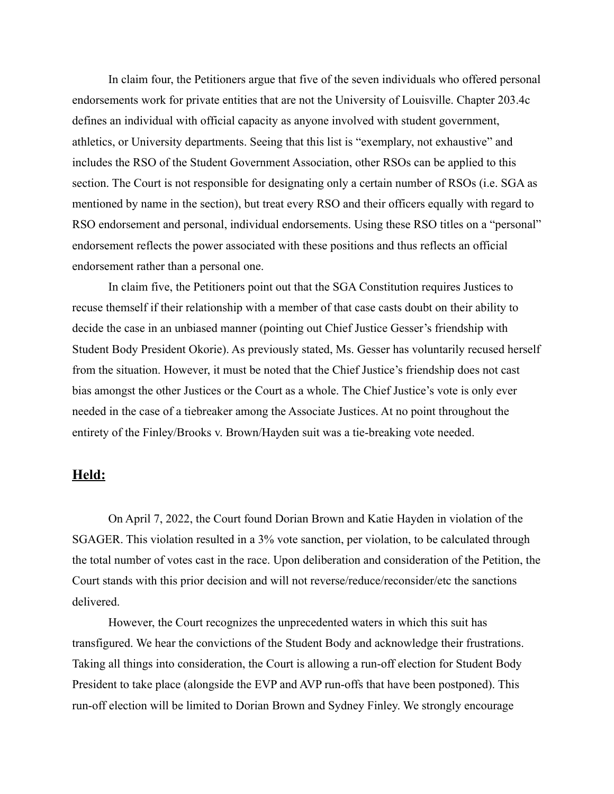In claim four, the Petitioners argue that five of the seven individuals who offered personal endorsements work for private entities that are not the University of Louisville. Chapter 203.4c defines an individual with official capacity as anyone involved with student government, athletics, or University departments. Seeing that this list is "exemplary, not exhaustive" and includes the RSO of the Student Government Association, other RSOs can be applied to this section. The Court is not responsible for designating only a certain number of RSOs (i.e. SGA as mentioned by name in the section), but treat every RSO and their officers equally with regard to RSO endorsement and personal, individual endorsements. Using these RSO titles on a "personal" endorsement reflects the power associated with these positions and thus reflects an official endorsement rather than a personal one.

In claim five, the Petitioners point out that the SGA Constitution requires Justices to recuse themself if their relationship with a member of that case casts doubt on their ability to decide the case in an unbiased manner (pointing out Chief Justice Gesser's friendship with Student Body President Okorie). As previously stated, Ms. Gesser has voluntarily recused herself from the situation. However, it must be noted that the Chief Justice's friendship does not cast bias amongst the other Justices or the Court as a whole. The Chief Justice's vote is only ever needed in the case of a tiebreaker among the Associate Justices. At no point throughout the entirety of the Finley/Brooks v. Brown/Hayden suit was a tie-breaking vote needed.

#### **Held:**

On April 7, 2022, the Court found Dorian Brown and Katie Hayden in violation of the SGAGER. This violation resulted in a 3% vote sanction, per violation, to be calculated through the total number of votes cast in the race. Upon deliberation and consideration of the Petition, the Court stands with this prior decision and will not reverse/reduce/reconsider/etc the sanctions delivered.

However, the Court recognizes the unprecedented waters in which this suit has transfigured. We hear the convictions of the Student Body and acknowledge their frustrations. Taking all things into consideration, the Court is allowing a run-off election for Student Body President to take place (alongside the EVP and AVP run-offs that have been postponed). This run-off election will be limited to Dorian Brown and Sydney Finley. We strongly encourage